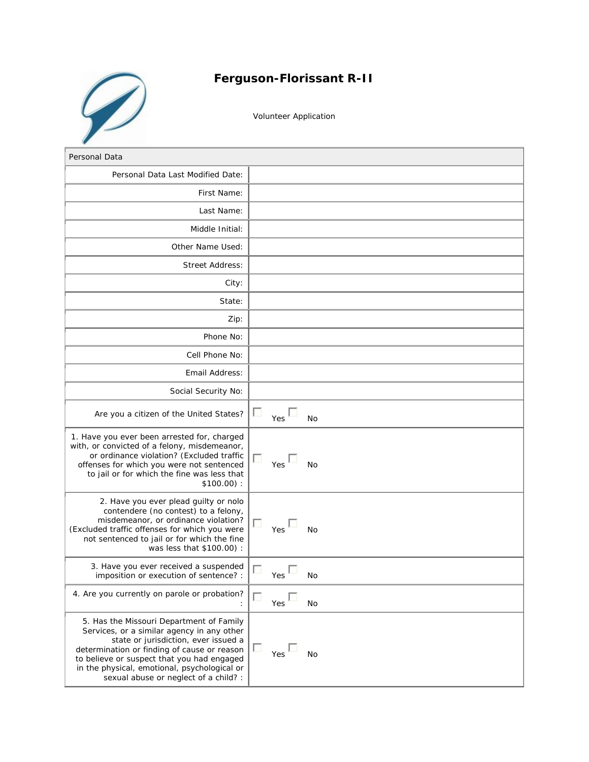

## **Ferguson-Florissant R-II**

Volunteer Application

| Personal Data                                                                                                                                                                                                                                                                                                        |                       |
|----------------------------------------------------------------------------------------------------------------------------------------------------------------------------------------------------------------------------------------------------------------------------------------------------------------------|-----------------------|
| Personal Data Last Modified Date:                                                                                                                                                                                                                                                                                    |                       |
| First Name:                                                                                                                                                                                                                                                                                                          |                       |
| Last Name:                                                                                                                                                                                                                                                                                                           |                       |
| Middle Initial:                                                                                                                                                                                                                                                                                                      |                       |
| Other Name Used:                                                                                                                                                                                                                                                                                                     |                       |
| <b>Street Address:</b>                                                                                                                                                                                                                                                                                               |                       |
| City:                                                                                                                                                                                                                                                                                                                |                       |
| State:                                                                                                                                                                                                                                                                                                               |                       |
| Zip:                                                                                                                                                                                                                                                                                                                 |                       |
| Phone No:                                                                                                                                                                                                                                                                                                            |                       |
| Cell Phone No:                                                                                                                                                                                                                                                                                                       |                       |
| Email Address:                                                                                                                                                                                                                                                                                                       |                       |
| Social Security No:                                                                                                                                                                                                                                                                                                  |                       |
| Are you a citizen of the United States?                                                                                                                                                                                                                                                                              | ш<br>Yes<br>No        |
| 1. Have you ever been arrested for, charged<br>with, or convicted of a felony, misdemeanor,<br>or ordinance violation? (Excluded traffic<br>offenses for which you were not sentenced<br>to jail or for which the fine was less that<br>$$100.00$ ):                                                                 | ш<br>Yes<br><b>No</b> |
| 2. Have you ever plead guilty or nolo<br>contendere (no contest) to a felony,<br>misdemeanor, or ordinance violation?<br>(Excluded traffic offenses for which you were<br>not sentenced to jail or for which the fine<br>was less that \$100.00) :                                                                   | п<br>Yes<br>No        |
| 3. Have you ever received a suspended<br>imposition or execution of sentence? :                                                                                                                                                                                                                                      | П<br>Yes<br>No        |
| 4. Are you currently on parole or probation?                                                                                                                                                                                                                                                                         | □<br>Yes<br><b>No</b> |
| 5. Has the Missouri Department of Family<br>Services, or a similar agency in any other<br>state or jurisdiction, ever issued a<br>determination or finding of cause or reason<br>to believe or suspect that you had engaged<br>in the physical, emotional, psychological or<br>sexual abuse or neglect of a child? : | ш<br>Yes<br><b>No</b> |